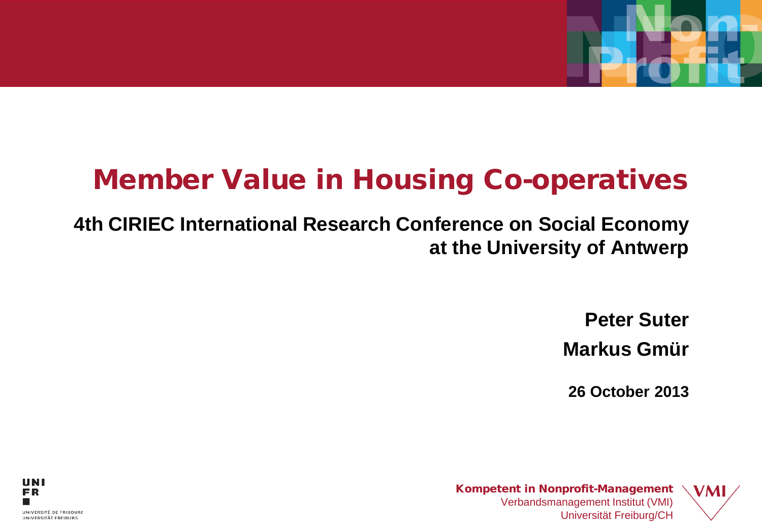# Member Value in Housing Co-operatives

#### **4th CIRIEC International Research Conference on Social Economy at the University of Antwerp**

**Peter Suter Markus Gmür**

**26 October 2013**

**VMI** 

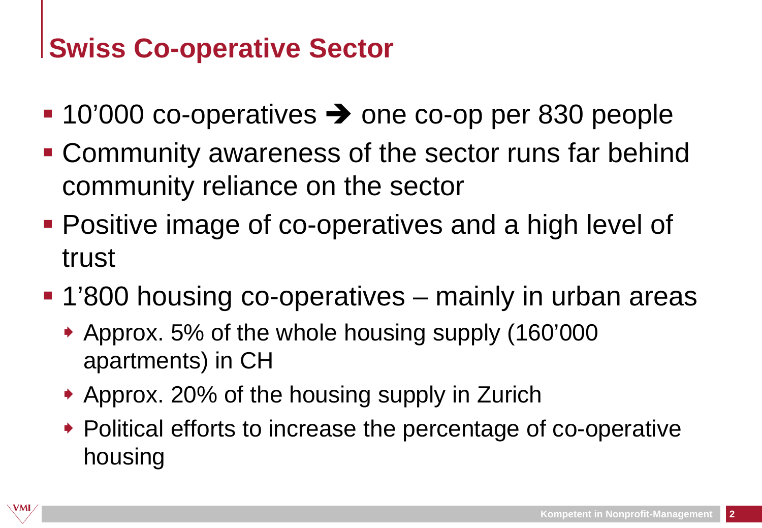## **Swiss Co-operative Sector**

- $\blacksquare$  10'000 co-operatives  $\rightarrow$  one co-op per 830 people
- Community awareness of the sector runs far behind community reliance on the sector
- **Positive image of co-operatives and a high level of** trust
- 1'800 housing co-operatives mainly in urban areas
	- Approx. 5% of the whole housing supply (160'000 apartments) in CH
	- ◆ Approx. 20% of the housing supply in Zurich
	- ◆ Political efforts to increase the percentage of co-operative housing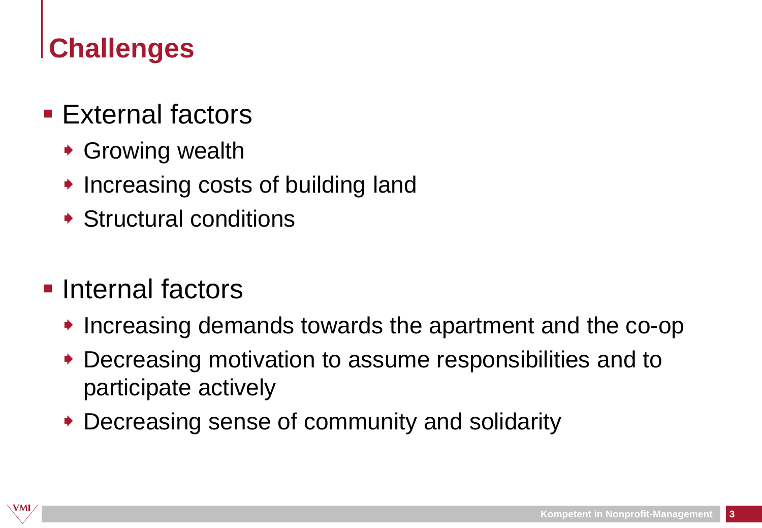## **Challenges**

#### $\blacksquare$  External factors

- ◆ Growing wealth
- $\rightarrow$  Increasing costs of building land
- Structural conditions

#### **Internal factors**

- $\rightarrow$  Increasing demands towards the apartment and the co-op
- Decreasing motivation to assume responsibilities and to participate actively
- Decreasing sense of community and solidarity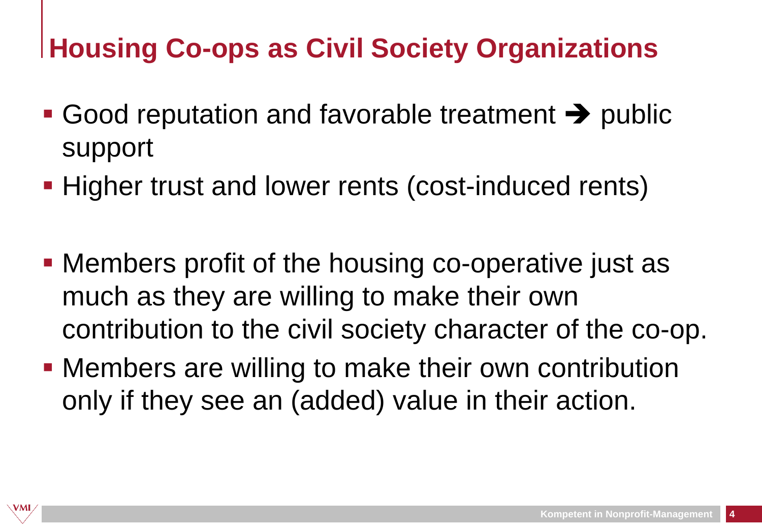# **Housing Co-ops as Civil Society Organizations**

- Good reputation and favorable treatment  $\rightarrow$  public support
- **Higher trust and lower rents (cost-induced rents)**
- Members profit of the housing co-operative just as much as they are willing to make their own contribution to the civil society character of the co-op.
- **Members are willing to make their own contribution** only if they see an (added) value in their action.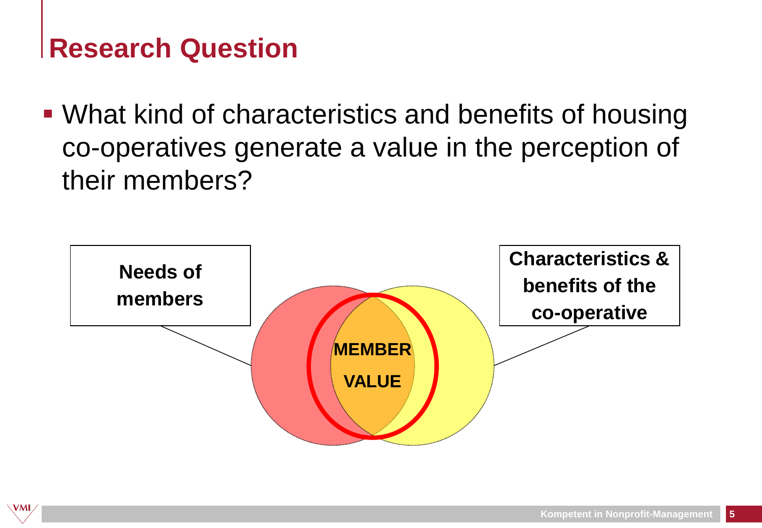#### **Research Question**

VMI

 What kind of characteristics and benefits of housing co-operatives generate a value in the perception of their members?

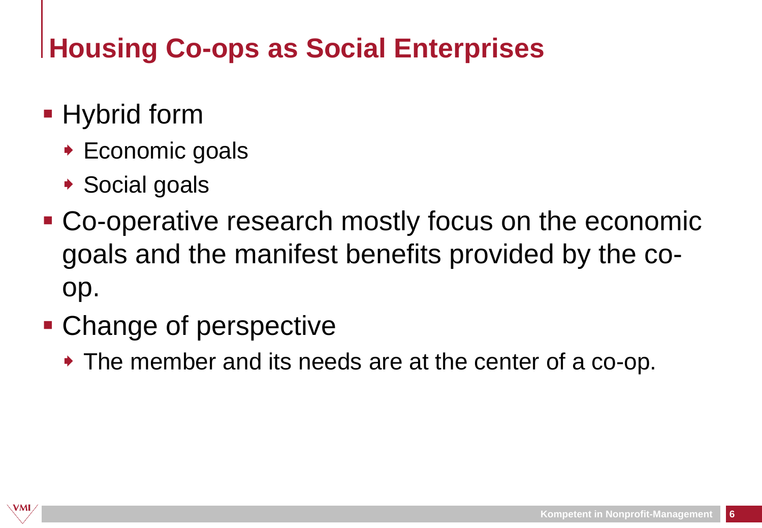# **Housing Co-ops as Social Enterprises**

- **Hybrid form** 
	- ◆ Economic goals
	- ◆ Social goals
- Co-operative research mostly focus on the economic goals and the manifest benefits provided by the coop.
- Change of perspective
	- The member and its needs are at the center of a co-op.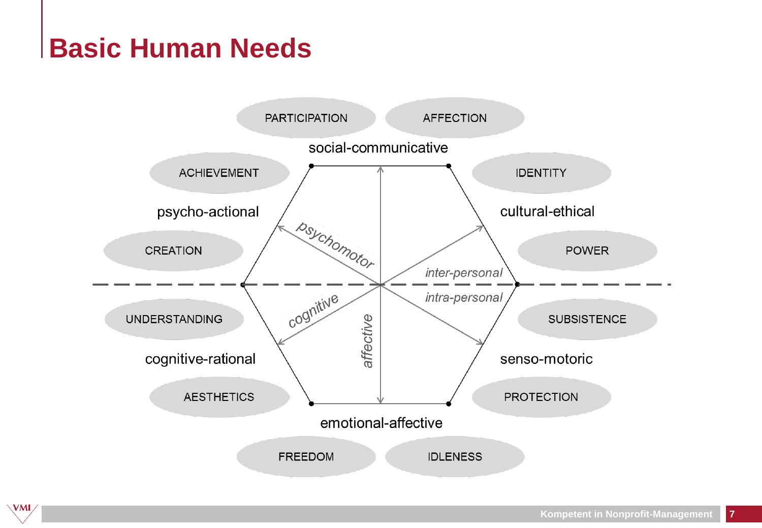### **Basic Human Needs**

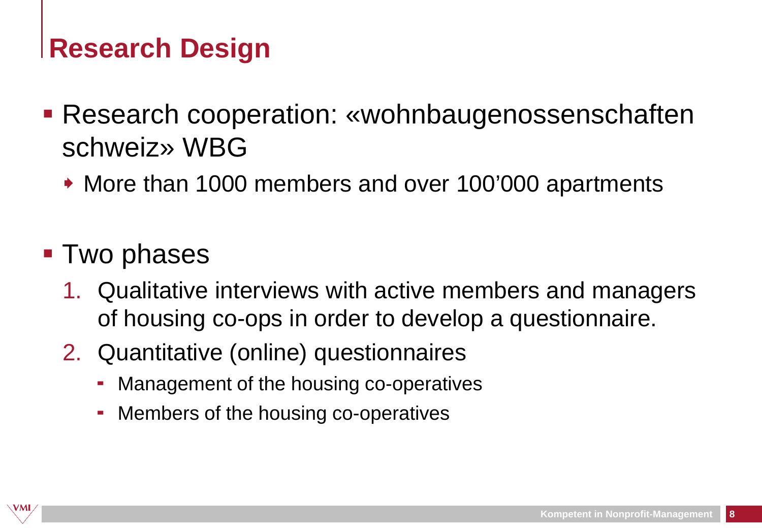### **Research Design**

- Research cooperation: «wohnbaugenossenschaften schweiz» WBG
	- More than 1000 members and over 100'000 apartments
- **Two phases** 
	- 1. Qualitative interviews with active members and managers of housing co-ops in order to develop a questionnaire.
	- 2. Quantitative (online) questionnaires
		- Management of the housing co-operatives
		- Members of the housing co-operatives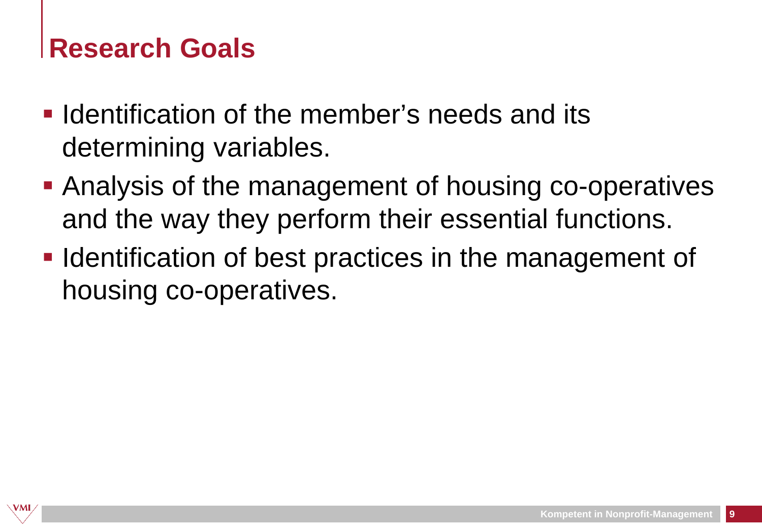#### **Research Goals**

- $\blacksquare$  Identification of the member's needs and its determining variables.
- Analysis of the management of housing co-operatives and the way they perform their essential functions.
- **IDENT** Identification of best practices in the management of housing co-operatives.